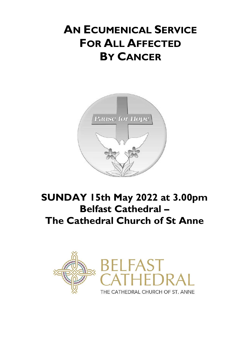# **AN ECUMENICAL SERVICE FOR ALL AFFECTED BY CANCER**



# **SUNDAY 15th May 2022 at 3.00pm Belfast Cathedral – The Cathedral Church of St Anne**

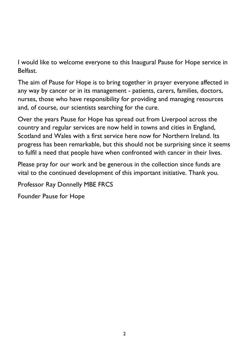I would like to welcome everyone to this Inaugural Pause for Hope service in Belfast.

The aim of Pause for Hope is to bring together in prayer everyone affected in any way by cancer or in its management - patients, carers, families, doctors, nurses, those who have responsibility for providing and managing resources and, of course, our scientists searching for the cure.

Over the years Pause for Hope has spread out from Liverpool across the country and regular services are now held in towns and cities in England, Scotland and Wales with a first service here now for Northern Ireland. Its progress has been remarkable, but this should not be surprising since it seems to fulfil a need that people have when confronted with cancer in their lives.

Please pray for our work and be generous in the collection since funds are vital to the continued development of this important initiative. Thank you.

Professor Ray Donnelly MBE FRCS

Founder Pause for Hope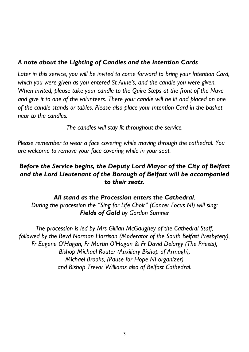#### *A note about the Lighting of Candles and the Intention Cards*

*Later in this service, you will be invited to come forward to bring your Intention Card, which you were given as you entered St Anne's, and the candle you were given. When invited, please take your candle to the Quire Steps at the front of the Nave and give it to one of the volunteers. There your candle will be lit and placed on one of the candle stands or tables. Please also place your Intention Card in the basket near to the candles.*

*The candles will stay lit throughout the service.*

*Please remember to wear a face covering while moving through the cathedral. You are welcome to remove your face covering while in your seat.*

#### *Before the Service begins, the Deputy Lord Mayor of the City of Belfast and the Lord Lieutenant of the Borough of Belfast will be accompanied to their seats.*

*All stand as the Procession enters the Cathedral. During the procession the "Sing for Life Choir" (Cancer Focus NI) will sing: Fields of Gold by Gordon Sumner*

*The procession is led by Mrs Gillian McGaughey of the Cathedral Staff, followed by the Revd Norman Harrison (Moderator of the South Belfast Presbytery), Fr Eugene O'Hagan, Fr Martin O'Hagan & Fr David Delargy (The Priests), Bishop Michael Router (Auxiliary Bishop of Armagh), Michael Brooks, (Pause for Hope NI organizer) and Bishop Trevor Williams also of Belfast Cathedral.*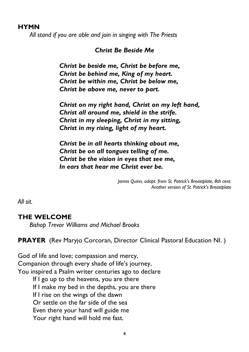#### **HYMN**

*All stand if you are able and join in singing with The Priests*

#### *Christ Be Beside Me*

*Christ be beside me, Christ be before me, Christ be behind me, King of my heart. Christ be within me, Christ be below me, Christ be above me, never to part.*

*Christ on my right hand, Christ on my left hand, Christ all around me, shield in the strife. Christ in my sleeping, Christ in my sitting, Christ in my rising, light of my heart.*

*Christ be in all hearts thinking about me, Christ be on all tongues telling of me. Christ be the vision in eyes that see me, In ears that hear me Christ ever be.*

> *James Quinn, adapt. from St. Patrick's Breastplate, 8th cent. Another version of St. Patrick's Breastplate*

*All sit.*

#### **THE WELCOME**

*Bishop Trevor Williams and Michael Brooks*

**PRAYER** (Rev Maryjo Corcoran, Director Clinical Pastoral Education NI. )

God of life and love; compassion and mercy, Companion through every shade of life's journey, You inspired a Psalm writer centuries ago to declare If I go up to the heavens, you are there If I make my bed in the depths, you are there If I rise on the wings of the dawn Or settle on the far side of the sea Even there your hand will guide me Your right hand will hold me fast.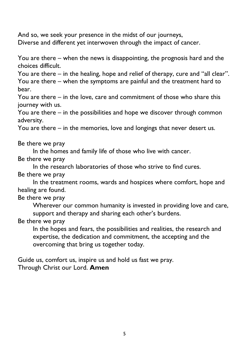And so, we seek your presence in the midst of our journeys, Diverse and different yet interwoven through the impact of cancer.

You are there – when the news is disappointing, the prognosis hard and the choices difficult.

You are there – in the healing, hope and relief of therapy, cure and "all clear". You are there – when the symptoms are painful and the treatment hard to bear.

You are there – in the love, care and commitment of those who share this journey with us.

You are there – in the possibilities and hope we discover through common adversity.

You are there – in the memories, love and longings that never desert us.

Be there we pray

In the homes and family life of those who live with cancer.

Be there we pray

In the research laboratories of those who strive to find cures.

Be there we pray

In the treatment rooms, wards and hospices where comfort, hope and healing are found.

Be there we pray

Wherever our common humanity is invested in providing love and care, support and therapy and sharing each other's burdens.

Be there we pray

In the hopes and fears, the possibilities and realities, the research and expertise, the dedication and commitment, the accepting and the overcoming that bring us together today.

Guide us, comfort us, inspire us and hold us fast we pray. Through Christ our Lord. **Amen**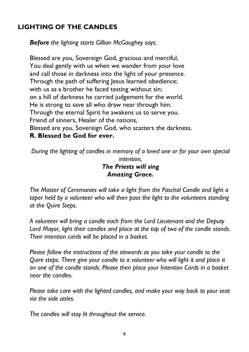# **LIGHTING OF THE CANDLES**

*Before the lighting starts Gillian McGaughey says:*

Blessed are you, Sovereign God, gracious and merciful, You deal gently with us when we wander from your love and call those in darkness into the light of your presence. Through the path of suffering Jesus learned obedience; with us as a brother he faced testing without sin; on a hill of darkness he carried judgement for the world. He is strong to save all who draw near through him. Through the eternal Spirit he awakens us to serve you. Friend of sinners, Healer of the nations, Blessed are you, Sovereign God, who scatters the darkness. **R. Blessed be God for ever.**

*During the lighting of candles in memory of a loved one or for your own special intention, The Priests will sing Amazing Grace.*

*The Master of Ceremonies will take a light from the Paschal Candle and light a taper held by a volunteer who will then pass the light to the volunteers standing at the Quire Steps.*

*A volunteer will bring a candle each from the Lord Lieutenant and the Deputy Lord Mayor, light their candles and place at the top of two of the candle stands. Their intention cards will be placed in a basket.*

*Please follow the instructions of the stewards as you take your candle to the Quire steps. There give your candle to a volunteer who will light it and place it on one of the candle stands. Please then place your Intention Cards in a basket near the candles.*

*Please take care with the lighted candles, and make your way back to your seat via the side aisles.*

*The candles will stay lit throughout the service.*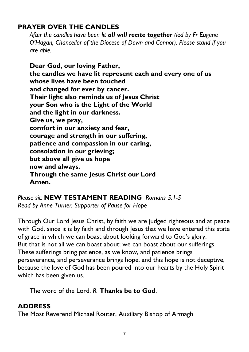# **PRAYER OVER THE CANDLES**

*After the candles have been lit all will recite together (led by Fr Eugene O'Hagan, Chancellor of the Diocese of Down and Connor). Please stand if you are able.*

**Dear God, our loving Father, the candles we have lit represent each and every one of us whose lives have been touched and changed for ever by cancer. Their light also reminds us of Jesus Christ your Son who is the Light of the World and the light in our darkness. Give us, we pray, comfort in our anxiety and fear, courage and strength in our suffering, patience and compassion in our caring, consolation in our grieving; but above all give us hope now and always. Through the same Jesus Christ our Lord Amen.**

*Please sit:* **NEW TESTAMENT READING** *Romans 5:1-5 Read by Anne Turner, Supporter of Pause for Hope*

Through Our Lord Jesus Christ, by faith we are judged righteous and at peace with God, since it is by faith and through Jesus that we have entered this state of grace in which we can boast about looking forward to God's glory. But that is not all we can boast about; we can boast about our sufferings. These sufferings bring patience, as we know, and patience brings perseverance, and perseverance brings hope, and this hope is not deceptive, because the love of God has been poured into our hearts by the Holy Spirit which has been given us.

The word of the Lord. *R.* **Thanks be to God**.

# **ADDRESS**

The Most Reverend Michael Router, Auxiliary Bishop of Armagh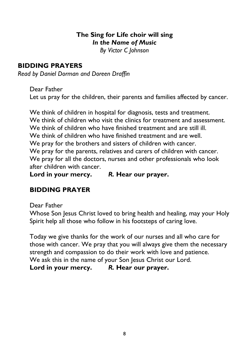# **The Sing for Life choir will sing** *In the Name of Music*

*By Victor C Johnson*

#### **BIDDING PRAYERS**

*Read by Daniel Dorman and Doreen Draffin*

Dear Father Let us pray for the children, their parents and families affected by cancer.

We think of children in hospital for diagnosis, tests and treatment. We think of children who visit the clinics for treatment and assessment. We think of children who have finished treatment and are still ill. We think of children who have finished treatment and are well. We pray for the brothers and sisters of children with cancer. We pray for the parents, relatives and carers of children with cancer. We pray for all the doctors, nurses and other professionals who look after children with cancer.

**Lord in your mercy.** *R.* **Hear our prayer.**

# **BIDDING PRAYER**

Dear Father

Whose Son Jesus Christ loved to bring health and healing, may your Holy Spirit help all those who follow in his footsteps of caring love.

Today we give thanks for the work of our nurses and all who care for those with cancer. We pray that you will always give them the necessary strength and compassion to do their work with love and patience. We ask this in the name of your Son Jesus Christ our Lord. **Lord in your mercy.** *R.* **Hear our prayer.**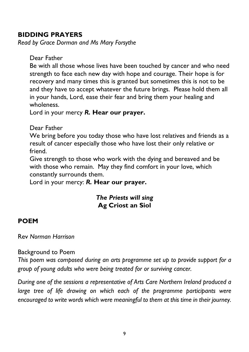#### **BIDDING PRAYERS**

*Read by Grace Dorman and Ms Mary Forsythe*

Dear Father

Be with all those whose lives have been touched by cancer and who need strength to face each new day with hope and courage. Their hope is for recovery and many times this is granted but sometimes this is not to be and they have to accept whatever the future brings. Please hold them all in your hands, Lord, ease their fear and bring them your healing and wholeness.

Lord in your mercy *R.* **Hear our prayer.**

Dear Father

We bring before you today those who have lost relatives and friends as a result of cancer especially those who have lost their only relative or friend.

Give strength to those who work with the dying and bereaved and be with those who remain. May they find comfort in your love, which constantly surrounds them.

Lord in your mercy: *R.* **Hear our prayer.**

#### *The Priests will sing* **Ag Criost an Siol**

# **POEM**

Rev *Norman Harrison*

#### Background to Poem

*This poem was composed during an arts programme set up to provide support for a group of young adults who were being treated for or surviving cancer.*

*During one of the sessions a representative of Arts Care Northern Ireland produced a large tree of life drawing on which each of the programme participants were encouraged to write words which were meaningful to them at this time in their journey.*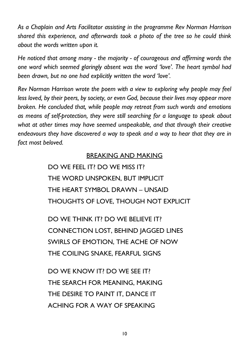*As a Chaplain and Arts Facilitator assisting in the programme Rev Norman Harrison shared this experience, and afterwards took a photo of the tree so he could think about the words written upon it.*

*He noticed that among many - the majority - of courageous and affirming words the one word which seemed glaringly absent was the word 'love'. The heart symbol had been drawn, but no one had explicitly written the word 'love'.*

*Rev Norman Harrison wrote the poem with a view to exploring why people may feel less loved, by their peers, by society, or even God, because their lives may appear more broken. He concluded that, while people may retreat from such words and emotions as means of self-protection, they were still searching for a language to speak about what at other times may have seemed unspeakable, and that through their creative endeavours they have discovered a way to speak and a way to hear that they are in fact most beloved.*

#### BREAKING AND MAKING

DO WE FEEL IT? DO WE MISS IT? THE WORD UNSPOKEN, BUT IMPLICIT THE HEART SYMBOL DRAWN – UNSAID THOUGHTS OF LOVE, THOUGH NOT EXPLICIT

DO WE THINK IT? DO WE BELIEVE IT? CONNECTION LOST, BEHIND JAGGED LINES SWIRLS OF EMOTION, THE ACHE OF NOW THE COILING SNAKE, FEARFUL SIGNS

DO WE KNOW IT? DO WE SEE IT? THE SEARCH FOR MEANING, MAKING THE DESIRE TO PAINT IT, DANCE IT ACHING FOR A WAY OF SPEAKING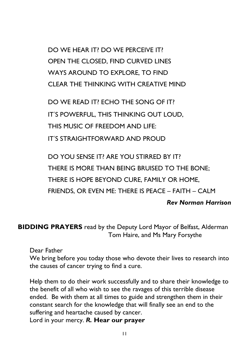DO WE HEAR IT? DO WE PERCEIVE IT? OPEN THE CLOSED, FIND CURVED LINES WAYS AROUND TO EXPLORE, TO FIND CLEAR THE THINKING WITH CREATIVE MIND

DO WE READ IT? ECHO THE SONG OF IT? IT'S POWERFUL, THIS THINKING OUT LOUD, THIS MUSIC OF FREEDOM AND LIFE: IT'S STRAIGHTFORWARD AND PROUD

DO YOU SENSE IT? ARE YOU STIRRED BY IT? THERE IS MORE THAN BEING BRUISED TO THE BONE; THERE IS HOPE BEYOND CURE, FAMILY OR HOME, FRIENDS, OR EVEN ME: THERE IS PEACE – FAITH – CALM

#### *Rev Norman Harrison*

**BIDDING PRAYERS** read by the Deputy Lord Mayor of Belfast, Alderman Tom Haire, and Ms Mary Forsythe

Dear Father

We bring before you today those who devote their lives to research into the causes of cancer trying to find a cure.

Help them to do their work successfully and to share their knowledge to the benefit of all who wish to see the ravages of this terrible disease ended. Be with them at all times to guide and strengthen them in their constant search for the knowledge that will finally see an end to the suffering and heartache caused by cancer.

Lord in your mercy. *R.* **Hear our prayer**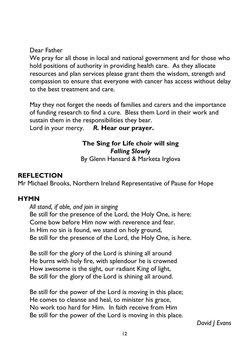Dear Father

We pray for all those in local and national government and for those who hold positions of authority in providing health care. As they allocate resources and plan services please grant them the wisdom, strength and compassion to ensure that everyone with cancer has access without delay to the best treatment and care.

May they not forget the needs of families and carers and the importance of funding research to find a cure. Bless them Lord in their work and sustain them in the responsibilities they bear.

Lord in your mercy. *R.* **Hear our prayer.**

# **The Sing for Life choir will sing** *Falling Slowly*

By Glenn Hansard & Marketa Irglova

# **REFLECTION**

Mr Michael Brooks, Northern Ireland Representative of Pause for Hope

#### **HYMN**

*All stand, if able, and join in singing* Be still for the presence of the Lord, the Holy One, is here: Come bow before Him now with reverence and fear. In Him no sin is found, we stand on holy ground, Be still for the presence of the Lord, the Holy One, is here.

Be still for the glory of the Lord is shining all around He burns with holy fire, with splendour he is crowned How awesome is the sight, our radiant King of light, Be still for the glory of the Lord is shining all around.

Be still for the power of the Lord is moving in this place; He comes to cleanse and heal, to minister his grace, No work too hard for Him. In faith receive from Him Be still for the power of the Lord is moving in this place.

*David J Evans*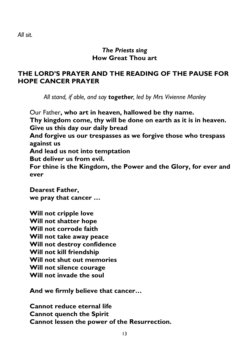*All sit.*

#### *The Priests sing* **How Great Thou art**

#### **THE LORD'S PRAYER AND THE READING OF THE PAUSE FOR HOPE CANCER PRAYER**

*All stand, if able, and say together, led by Mrs Vivienne Manley*

Our Father**, who art in heaven, hallowed be thy name. Thy kingdom come, thy will be done on earth as it is in heaven. Give us this day our daily bread And forgive us our trespasses as we forgive those who trespass against us And lead us not into temptation But deliver us from evil. For thine is the Kingdom, the Power and the Glory, for ever and ever**

**Dearest Father, we pray that cancer …**

**Will not cripple love Will not shatter hope Will not corrode faith Will not take away peace Will not destroy confidence Will not kill friendship Will not shut out memories Will not silence courage Will not invade the soul**

**And we firmly believe that cancer…**

**Cannot reduce eternal life Cannot quench the Spirit Cannot lessen the power of the Resurrection.**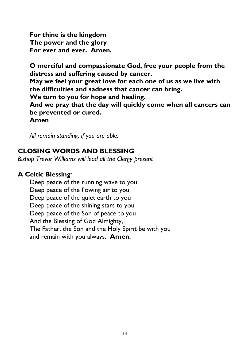**For thine is the kingdom The power and the glory For ever and ever. Amen.**

**O merciful and compassionate God, free your people from the distress and suffering caused by cancer.**

**May we feel your great love for each one of us as we live with the difficulties and sadness that cancer can bring.**

**We turn to you for hope and healing.**

**And we pray that the day will quickly come when all cancers can be prevented or cured.**

**Amen**

*All remain standing, if you are able.*

# **CLOSING WORDS AND BLESSING**

*Bishop Trevor Williams will lead all the Clergy present*

# **A Celtic Blessing***:*

Deep peace of the running wave to you Deep peace of the flowing air to you Deep peace of the quiet earth to you Deep peace of the shining stars to you Deep peace of the Son of peace to you And the Blessing of God Almighty, The Father, the Son and the Holy Spirit be with you and remain with you always. **Amen.**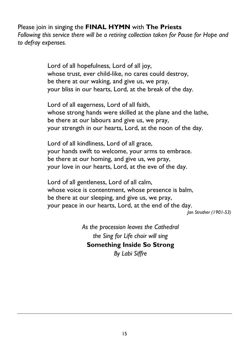Please join in singing the **FINAL HYMN** with **The Priests** *Following this service there will be a retiring collection taken for Pause for Hope and to defray expenses.*

> Lord of all hopefulness, Lord of all joy, whose trust, ever child-like, no cares could destroy, be there at our waking, and give us, we pray, your bliss in our hearts, Lord, at the break of the day.

Lord of all eagerness, Lord of all faith, whose strong hands were skilled at the plane and the lathe, be there at our labours and give us, we pray, your strength in our hearts, Lord, at the noon of the day.

Lord of all kindliness, Lord of all grace, your hands swift to welcome, your arms to embrace. be there at our homing, and give us, we pray, your love in our hearts, Lord, at the eve of the day.

Lord of all gentleness, Lord of all calm, whose voice is contentment, whose presence is balm, be there at our sleeping, and give us, we pray, your peace in our hearts, Lord, at the end of the day.

*Jan Struther (1901-53)*

*As the procession leaves the Cathedral the Sing for Life choir will sing* **Something Inside So Strong** *By Labi Siffre*